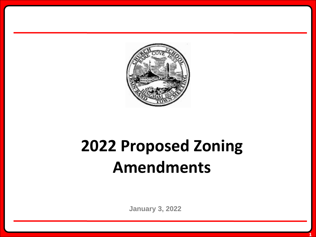

## **2022 Proposed Zoning Amendments**

**January 3, 2022**

**1**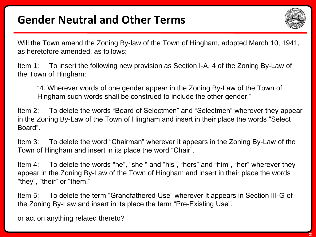## **Gender Neutral and Other Terms**



Will the Town amend the Zoning By-law of the Town of Hingham, adopted March 10, 1941, as heretofore amended, as follows:

Item 1: To insert the following new provision as Section I-A, 4 of the Zoning By-Law of the Town of Hingham:

"4. Wherever words of one gender appear in the Zoning By-Law of the Town of Hingham such words shall be construed to include the other gender."

Item 2: To delete the words "Board of Selectmen" and "Selectmen" wherever they appear in the Zoning By-Law of the Town of Hingham and insert in their place the words "Select Board".

Item 3: To delete the word "Chairman" wherever it appears in the Zoning By-Law of the Town of Hingham and insert in its place the word "Chair".

Item 4: To delete the words "he", "she " and "his", "hers" and "him", "her" wherever they appear in the Zoning By-Law of the Town of Hingham and insert in their place the words "they", "their" or "them."

Item 5: To delete the term "Grandfathered Use" wherever it appears in Section III-G of the Zoning By-Law and insert in its place the term "Pre-Existing Use".

or act on anything related thereto?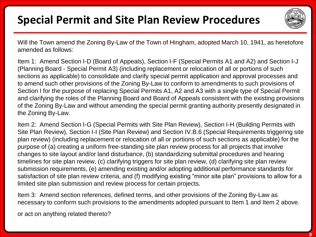## **Special Permit and Site Plan Review Procedures**



Will the Town amend the Zoning By-Law of the Town of Hingham, adopted March 10, 1941, as heretofore amended as follows:

Item 1: Amend Section I-D (Board of Appeals), Section I-F (Special Permits A1 and A2) and Section I-J (Planning Board - Special Permit A3) (including replacement or relocation of all or portions of such sections as applicable) to consolidate and clarify special permit application and approval processes and to amend such other provisions of the Zoning By-Law to conform to amendments to such provisions of Section I for the purpose of replacing Special Permits A1, A2 and A3 with a single type of Special Permit and clarifying the roles of the Planning Board and Board of Appeals consistent with the existing provisions of the Zoning By-Law and without amending the special permit granting authority presently designated in the Zoning By-Law.

Item 2: Amend Section I-G (Special Permits with Site Plan Review), Section I-H (Building Permits with Site Plan Review), Section I-I (Site Plan Review) and Section IV.B.6 (Special Requirements triggering site plan review) (including replacement or relocation of all or portions of such sections as applicable) for the purpose of (a) creating a uniform free-standing site plan review process for all projects that involve changes to site layout and/or land disturbance, (b) standardizing submittal procedures and hearing timelines for site plan review, (c) clarifying triggers for site plan review, (d) clarifying site plan review submission requirements, (e) amending existing and/or adopting additional performance standards for satisfaction of site plan review criteria, and (f) modifying existing "minor site plan" provisions to allow for a limited site plan submission and review process for certain projects.

Item 3: Amend section references, defined terms, and other provisions of the Zoning By-Law as necessary to conform such provisions to the amendments adopted pursuant to Item 1 and Item 2 above.

or act on anything related thereto?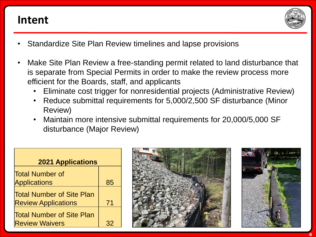## **Intent**



- Standardize Site Plan Review timelines and lapse provisions
- Make Site Plan Review a free-standing permit related to land disturbance that is separate from Special Permits in order to make the review process more efficient for the Boards, staff, and applicants
	- Eliminate cost trigger for nonresidential projects (Administrative Review)
	- Reduce submittal requirements for 5,000/2,500 SF disturbance (Minor Review)
	- Maintain more intensive submittal requirements for 20,000/5,000 SF disturbance (Major Review)

| <b>2021 Applications</b>                                       |    |
|----------------------------------------------------------------|----|
| <b>Total Number of</b>                                         |    |
| <b>Applications</b>                                            | 85 |
| <b>Total Number of Site Plan</b><br><b>Review Applications</b> | 71 |
| <b>Total Number of Site Plan</b><br><b>Review Waivers</b>      |    |